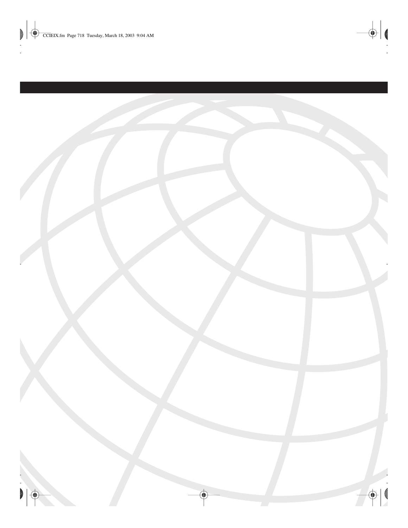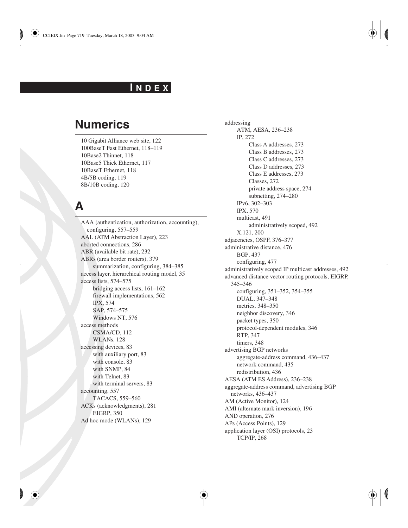#### **I N D E X**

# **Numerics**

10 Gigabit Alliance web site, 122 100BaseT Fast Ethernet, 118–119 10Base2 Thinnet, 118 10Base5 Thick Ethernet, 117 10BaseT Ethernet, 118 4B/5B coding, 119 8B/10B coding, 120

# **A**

AAA (authentication, authorization, accounting), configuring, 557–559 AAL (ATM Abstraction Layer), 223 aborted connections, 286 ABR (available bit rate), 232 ABRs (area border routers), 379 summarization, configuring, 384–385 access layer, hierarchical routing model, 35 access lists, 574–575 bridging access lists, 161–162 firewall implementations, 562 IPX, 574 SAP, 574–575 Windows NT, 576 access methods CSMA/CD, 112 WLANs, 128 accessing devices, 83 with auxiliary port, 83 with console, 83 with SNMP, 84 with Telnet, 83 with terminal servers, 83 accounting, 557 TACACS, 559–560 ACKs (acknowledgments), 281 EIGRP, 350 Ad hoc mode (WLANs), 129

addressing ATM, AESA, 236–238 IP, 272 Class A addresses, 273 Class B addresses, 273 Class C addresses, 273 Class D addresses, 273 Class E addresses, 273 Classes, 272 private address space, 274 subnetting, 274–280 IPv6, 302–303 IPX, 570 multicast, 491 administratively scoped, 492 X.121, 200 adjacencies, OSPF, 376–377 administrative distance, 476 BGP, 437 configuring, 477 administratively scoped IP multicast addresses, 492 advanced distance vector routing protocols, EIGRP, 345–346 configuring, 351–352, 354–355 DUAL, 347–348 metrics, 348–350 neighbor discovery, 346 packet types, 350 protocol-dependent modules, 346 RTP, 347 timers, 348 advertising BGP networks aggregate-address command, 436–437 network command, 435 redistribution, 436 AESA (ATM ES Address), 236–238 aggregate-address command, advertising BGP networks, 436–437 AM (Active Monitor), 124 AMI (alternate mark inversion), 196 AND operation, 276 APs (Access Points), 129 application layer (OSI) protocols, 23 TCP/IP, 268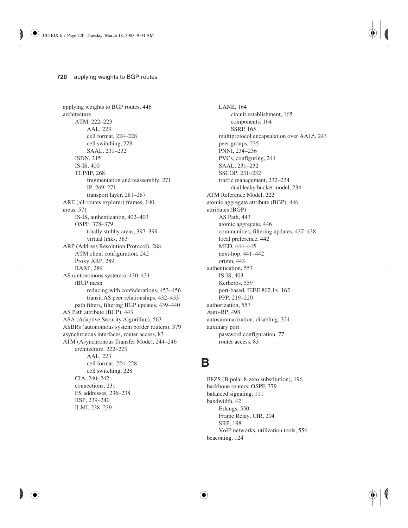applying weights to BGP routes, 446 architecture ATM, 222–223 AAL, 223 cell format, 224–228 cell switching, 228 SAAL, 231–232 ISDN, 215 IS-IS, 400 TCP/IP, 268 fragmentation and reassembly, 271 IP, 269–271 transport layer, 281–287 ARE (all-routes explorer) frames, 140 areas, 571 IS-IS, authentication, 402–403 OSPF, 378–379 totally stubby areas, 397–399 virtual links, 383 ARP (Address Resolution Protocol), 288 ATM client configuration, 242 Proxy ARP, 289 RARP, 289 AS (autonomous systems), 430–431 iBGP mesh reducing with confederations, 453–456 transit AS peer relationships, 432–433 path filters, filtering BGP updates, 439–440 AS Path attribute (BGP), 443 ASA (Adaptive Security Algorithm), 563 ASBRs (autonomous system border routers), 379 asynchronous interfaces, router access, 83 ATM (Asynchronous Transfer Mode), 244–246 architecture, 222–223 AAL, 223 cell format, 224–228 cell switching, 228 CIA, 240–242 connections, 231 ES addresses, 236–238 IISP, 239–240 ILMI, 238–239

LANE, 164 circuit establishment, 165 components, 164 SSRP, 165 multiprotocol encapsulation over AAL5, 243 peer groups, 235 PNNI, 234–236 PVCs, configuring, 244 SAAL, 231–232 SSCOP, 231–232 traffic management, 232–234 dual leaky bucket model, 234 ATM Reference Model, 222 atomic aggregate attribute (BGP), 446 attributes (BGP) AS Path, 443 atomic aggregate, 446 communities, filtering updates, 437–438 local preference, 442 MED, 444–445 next-hop, 441–442 origin, 443 authentication, 557 IS-IS, 403 Kerberos, 559 port-based, IEEE 802.1x, 162 PPP, 219–220 authorization, 557 Auto-RP, 498 autosummarization, disabling, 324 auxiliary port password configuration, 77 router access, 83

#### **B**

B8ZS (Bipolar 8-zero substitution), 196 backbone routers, OSPF, 379 balanced signaling, 111 bandwidth, 42 Erlangs, 550 Frame Relay, CIR, 204 SRP, 198 VoIP networks, utilization tools, 556 beaconing, 124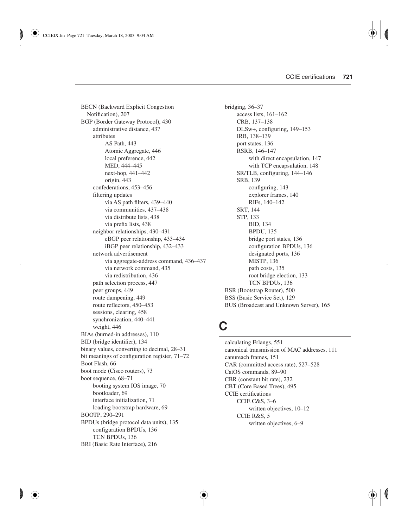BECN (Backward Explicit Congestion Notification), 207 BGP (Border Gateway Protocol), 430 administrative distance, 437 attributes AS Path, 443 Atomic Aggregate, 446 local preference, 442 MED, 444–445 next-hop, 441–442 origin, 443 confederations, 453–456 filtering updates via AS path filters, 439–440 via communities, 437–438 via distribute lists, 438 via prefix lists, 438 neighbor relationships, 430–431 eBGP peer relationship, 433–434 iBGP peer relationship, 432–433 network advertisement via aggregate-address command, 436–437 via network command, 435 via redistribution, 436 path selection process, 447 peer groups, 449 route dampening, 449 route reflectors, 450–453 sessions, clearing, 458 synchronization, 440–441 weight, 446 BIAs (burned-in addresses), 110 BID (bridge identifier), 134 binary values, converting to decimal, 28–31 bit meanings of configuration register, 71–72 Boot Flash, 66 boot mode (Cisco routers), 73 boot sequence, 68–71 booting system IOS image, 70 bootloader, 69 interface initialization, 71 loading bootstrap hardware, 69 BOOTP, 290–291 BPDUs (bridge protocol data units), 135 configuration BPDUs, 136 TCN BPDUs, 136 BRI (Basic Rate Interface), 216

bridging, 36–37 access lists, 161–162 CRB, 137–138 DLSw+, configuring, 149–153 IRB, 138–139 port states, 136 RSRB, 146–147 with direct encapsulation, 147 with TCP encapsulation, 148 SR/TLB, configuring, 144–146 SRB, 139 configuring, 143 explorer frames, 140 RIFs, 140–142 SRT, 144 STP, 133 BID, 134 BPDU, 135 bridge port states, 136 configuration BPDUs, 136 designated ports, 136 MISTP, 136 path costs, 135 root bridge election, 133 TCN BPDUs, 136 BSR (Bootstrap Router), 500 BSS (Basic Service Set), 129 BUS (Broadcast and Unknown Server), 165

### **C**

calculating Erlangs, 551 canonical transmission of MAC addresses, 111 canureach frames, 151 CAR (committed access rate), 527–528 CatOS commands, 89–90 CBR (constant bit rate), 232 CBT (Core Based Trees), 495 CCIE certifications CCIE C&S, 3–6 written objectives, 10–12 CCIE R&S, 5 written objectives, 6–9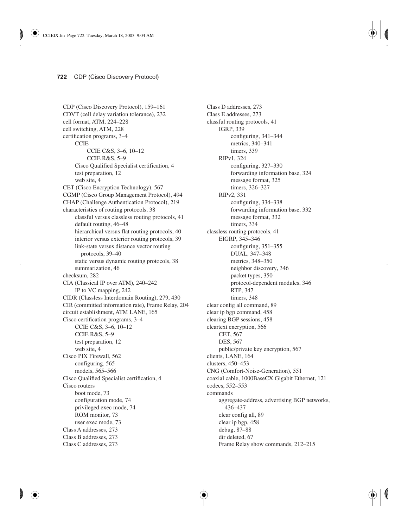CDP (Cisco Discovery Protocol), 159–161 CDVT (cell delay variation tolerance), 232 cell format, ATM, 224–228 cell switching, ATM, 228 certification programs, 3–4 **CCIE** CCIE C&S, 3–6, 10–12 CCIE R&S, 5–9 Cisco Qualified Specialist certification, 4 test preparation, 12 web site, 4 CET (Cisco Encryption Technology), 567 CGMP (Cisco Group Management Protocol), 494 CHAP (Challenge Authentication Protocol), 219 characteristics of routing protocols, 38 classful versus classless routing protocols, 41 default routing, 46–48 hierarchical versus flat routing protocols, 40 interior versus exterior routing protocols, 39 link-state versus distance vector routing protocols, 39–40 static versus dynamic routing protocols, 38 summarization, 46 checksum, 282 CIA (Classical IP over ATM), 240–242 IP to VC mapping, 242 CIDR (Classless Interdomain Routing), 279, 430 CIR (committed information rate), Frame Relay, 204 circuit establishment, ATM LANE, 165 Cisco certification programs, 3–4 CCIE C&S, 3–6, 10–12 CCIE R&S, 5–9 test preparation, 12 web site, 4 Cisco PIX Firewall, 562 configuring, 565 models, 565–566 Cisco Qualified Specialist certification, 4 Cisco routers boot mode, 73 configuration mode, 74 privileged exec mode, 74 ROM monitor, 73 user exec mode, 73 Class A addresses, 273 Class B addresses, 273 Class C addresses, 273

Class D addresses, 273 Class E addresses, 273 classful routing protocols, 41 IGRP, 339 configuring, 341–344 metrics, 340–341 timers, 339 RIPv1, 324 configuring, 327–330 forwarding information base, 324 message format, 325 timers, 326–327 RIPv2, 331 configuring, 334–338 forwarding information base, 332 message format, 332 timers, 334 classless routing protocols, 41 EIGRP, 345–346 configuring, 351–355 DUAL, 347–348 metrics, 348–350 neighbor discovery, 346 packet types, 350 protocol-dependent modules, 346 RTP, 347 timers, 348 clear config all command, 89 clear ip bgp command, 458 clearing BGP sessions, 458 cleartext encryption, 566 CET, 567 DES, 567 public/private key encryption, 567 clients, LANE, 164 clusters, 450–453 CNG (Comfort-Noise-Generation), 551 coaxial cable, 1000BaseCX Gigabit Ethernet, 121 codecs, 552–553 commands aggregate-address, advertising BGP networks, 436–437 clear config all, 89 clear ip bgp, 458 debug, 87–88 dir deleted, 67 Frame Relay show commands, 212–215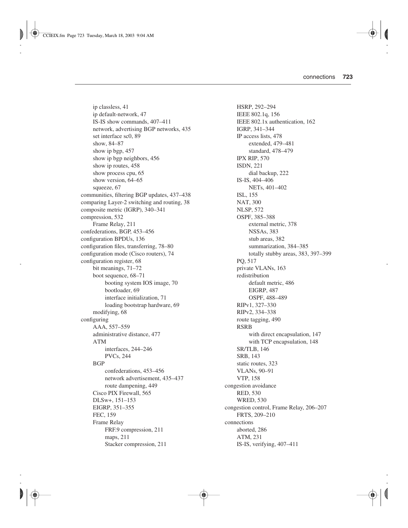ip classless, 41 ip default-network, 47 IS-IS show commands, 407–411 network, advertising BGP networks, 435 set interface sc0, 89 show, 84–87 show ip bgp, 457 show ip bgp neighbors, 456 show ip routes, 458 show process cpu, 65 show version, 64–65 squeeze, 67 communities, filtering BGP updates, 437–438 comparing Layer-2 switching and routing, 38 composite metric (IGRP), 340–341 compression, 532 Frame Relay, 211 confederations, BGP, 453–456 configuration BPDUs, 136 configuration files, transferring, 78–80 configuration mode (Cisco routers), 74 configuration register, 68 bit meanings, 71–72 boot sequence, 68–71 booting system IOS image, 70 bootloader, 69 interface initialization, 71 loading bootstrap hardware, 69 modifying, 68 configuring AAA, 557–559 administrative distance, 477 ATM interfaces, 244–246 PVCs, 244 **BGP** confederations, 453–456 network advertisement, 435–437 route dampening, 449 Cisco PIX Firewall, 565 DLSw+, 151–153 EIGRP, 351–355 FEC, 159 Frame Relay FRF.9 compression, 211 maps, 211 Stacker compression, 211

HSRP, 292–294 IEEE 802.1q, 156 IEEE 802.1x authentication, 162 IGRP, 341–344 IP access lists, 478 extended, 479–481 standard, 478–479 IPX RIP, 570 ISDN, 221 dial backup, 222 IS-IS, 404–406 NETs, 401–402 ISL, 155 NAT, 300 NLSP, 572 OSPF, 385–388 external metric, 378 NSSAs, 383 stub areas, 382 summarization, 384–385 totally stubby areas, 383, 397–399 PQ, 517 private VLANs, 163 redistribution default metric, 486 EIGRP, 487 OSPF, 488–489 RIPv1, 327–330 RIPv2, 334–338 route tagging, 490 RSRB with direct encapsulation, 147 with TCP encapsulation, 148 SR/TLB, 146 SRB, 143 static routes, 323 VLANs, 90–91 VTP, 158 congestion avoidance RED, 530 WRED, 530 congestion control, Frame Relay, 206–207 FRTS, 209–210 connections aborted, 286 ATM, 231 IS-IS, verifying, 407–411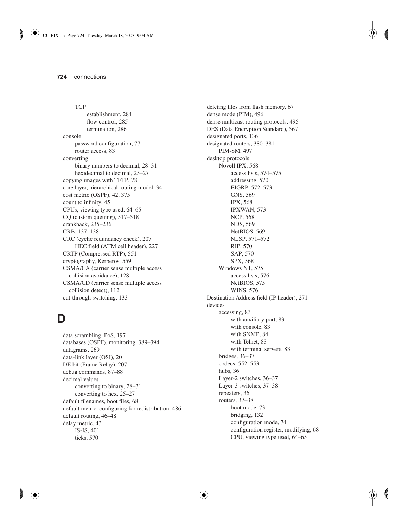**TCP** establishment, 284 flow control, 285 termination, 286 console password configuration, 77 router access, 83 converting binary numbers to decimal, 28–31 hexidecimal to decimal, 25–27 copying images with TFTP, 78 core layer, hierarchical routing model, 34 cost metric (OSPF), 42, 375 count to infinity, 45 CPUs, viewing type used, 64–65 CQ (custom queuing), 517–518 crankback, 235–236 CRB, 137–138 CRC (cyclic redundancy check), 207 HEC field (ATM cell header), 227 CRTP (Compressed RTP), 551 cryptography, Kerberos, 559 CSMA/CA (carrier sense multiple access collision avoidance), 128 CSMA/CD (carrier sense multiple access collision detect), 112 cut-through switching, 133

# **D**

data scrambling, PoS, 197 databases (OSPF), monitoring, 389–394 datagrams, 269 data-link layer (OSI), 20 DE bit (Frame Relay), 207 debug commands, 87–88 decimal values converting to binary, 28–31 converting to hex, 25–27 default filenames, boot files, 68 default metric, configuring for redistribution, 486 default routing, 46–48 delay metric, 43 IS-IS, 401 ticks, 570

deleting files from flash memory, 67 dense mode (PIM), 496 dense multicast routing protocols, 495 DES (Data Encryption Standard), 567 designated ports, 136 designated routers, 380–381 PIM-SM, 497 desktop protocols Novell IPX, 568 access lists, 574–575 addressing, 570 EIGRP, 572–573 GNS, 569 IPX, 568 IPXWAN, 573 NCP, 568 NDS, 569 NetBIOS, 569 NLSP, 571–572 RIP, 570 SAP, 570 SPX, 568 Windows NT, 575 access lists, 576 NetBIOS, 575 WINS, 576 Destination Address field (IP header), 271 devices accessing, 83 with auxiliary port, 83 with console, 83 with SNMP, 84 with Telnet, 83 with terminal servers, 83 bridges, 36–37 codecs, 552–553 hubs, 36 Layer-2 switches, 36–37 Layer-3 switches, 37–38 repeaters, 36 routers, 37–38 boot mode, 73 bridging, 132 configuration mode, 74 configuration register, modifying, 68 CPU, viewing type used, 64–65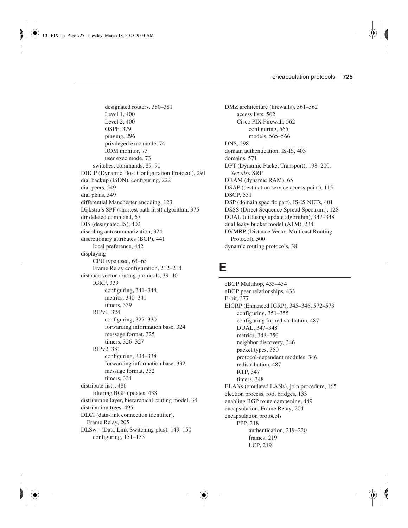designated routers, 380–381 Level 1, 400 Level 2, 400 OSPF, 379 pinging, 296 privileged exec mode, 74 ROM monitor, 73 user exec mode, 73 switches, commands, 89–90 DHCP (Dynamic Host Configuration Protocol), 291 dial backup (ISDN), configuring, 222 dial peers, 549 dial plans, 549 differential Manchester encoding, 123 Dijkstra's SPF (shortest path first) algorithm, 375 dir deleted command, 67 DIS (designated IS), 402 disabling autosummarization, 324 discretionary attributes (BGP), 441 local preference, 442 displaying CPU type used, 64–65 Frame Relay configuration, 212–214 distance vector routing protocols, 39–40 IGRP, 339 configuring, 341–344 metrics, 340–341 timers, 339 RIPv1, 324 configuring, 327–330 forwarding information base, 324 message format, 325 timers, 326–327 RIPv2, 331 configuring, 334–338 forwarding information base, 332 message format, 332 timers, 334 distribute lists, 486 filtering BGP updates, 438 distribution layer, hierarchical routing model, 34 distribution trees, 495 DLCI (data-link connection identifier), Frame Relay, 205 DLSw+ (Data-Link Switching plus), 149–150 configuring, 151–153

DMZ architecture (firewalls), 561–562 access lists, 562 Cisco PIX Firewall, 562 configuring, 565 models, 565–566 DNS, 298 domain authentication, IS-IS, 403 domains, 571 DPT (Dynamic Packet Transport), 198–200. *See also* SRP DRAM (dynamic RAM), 65 DSAP (destination service access point), 115 DSCP, 531 DSP (domain specific part), IS-IS NETs, 401 DSSS (Direct Sequence Spread Spectrum), 128 DUAL (diffusing update algorithm), 347–348 dual leaky bucket model (ATM), 234 DVMRP (Distance Vector Multicast Routing Protocol), 500 dynamic routing protocols, 38

### **E**

eBGP Multihop, 433–434 eBGP peer relationships, 433 E-bit, 377 EIGRP (Enhanced IGRP), 345–346, 572–573 configuring, 351–355 configuring for redistribution, 487 DUAL, 347–348 metrics, 348–350 neighbor discovery, 346 packet types, 350 protocol-dependent modules, 346 redistribution, 487 RTP, 347 timers, 348 ELANs (emulated LANs), join procedure, 165 election process, root bridges, 133 enabling BGP route dampening, 449 encapsulation, Frame Relay, 204 encapsulation protocols PPP, 218 authentication, 219–220 frames, 219 LCP, 219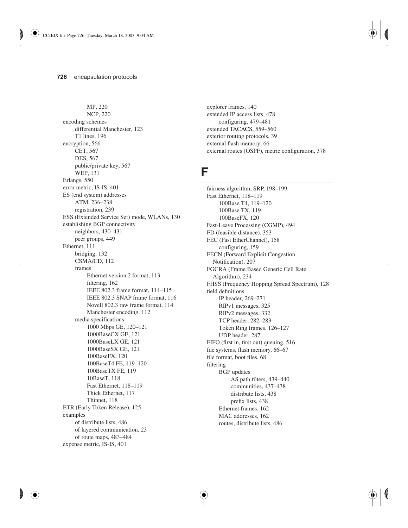MP, 220 NCP, 220 encoding schemes differential Manchester, 123 T1 lines, 196 encryption, 566 CET, 567 DES, 567 public/private key, 567 WEP, 131 Erlangs, 550 error metric, IS-IS, 401 ES (end system) addresses ATM, 236–238 registration, 239 ESS (Extended Service Set) mode, WLANs, 130 establishing BGP connectivity neighbors, 430–431 peer groups, 449 Ethernet, 111 bridging, 132 CSMA/CD, 112 frames Ethernet version 2 format, 113 filtering, 162 IEEE 802.3 frame format, 114–115 IEEE 802.3 SNAP frame format, 116 Novell 802.3 raw frame format, 114 Manchester encoding, 112 media specifications 1000 Mbps GE, 120–121 1000BaseCX GE, 121 1000BaseLX GE, 121 1000BaseSX GE, 121 100BaseFX, 120 100BaseT4 FE, 119–120 100BaseTX FE, 119 10BaseT, 118 Fast Ethernet, 118–119 Thick Ethernet, 117 Thinnet, 118 ETR (Early Token Release), 125 examples of distribute lists, 486 of layered communication, 23 of route maps, 483–484 expense metric, IS-IS, 401

explorer frames, 140 extended IP access lists, 478 configuring, 479–481 extended TACACS, 559–560 exterior routing protocols, 39 external flash memory, 66 external routes (OSPF), metric configuration, 378

### **F**

fairness algorithm, SRP, 198–199 Fast Ethernet, 118–119 100Base T4, 119–120 100Base TX, 119 100BaseFX, 120 Fast-Leave Processing (CGMP), 494 FD (feasible distance), 353 FEC (Fast EtherChannel), 158 configuring, 159 FECN (Forward Explicit Congestion Notification), 207 FGCRA (Frame Based Generic Cell Rate Algorithm), 234 FHSS (Frequency Hopping Spread Spectrum), 128 field definitions IP header, 269–271 RIPv1 messages, 325 RIPv2 messages, 332 TCP header, 282–283 Token Ring frames, 126–127 UDP header, 287 FIFO (first in, first out) queuing, 516 file systems, flash memory, 66–67 file format, boot files, 68 filtering BGP updates AS path filters, 439–440 communities, 437–438 distribute lists, 438 prefix lists, 438 Ethernet frames, 162 MAC addresses, 162 routes, distribute lists, 486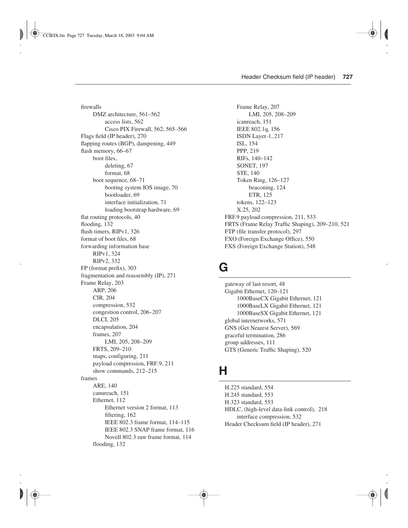firewalls DMZ architecture, 561–562 access lists, 562 Cisco PIX Firewall, 562, 565–566 Flags field (IP header), 270 flapping routes (BGP), dampening, 449 flash memory, 66-67 boot files, deleting, 67 format, 68 boot sequence, 68–71 booting system IOS image, 70 bootloader, 69 interface initialization, 71 loading bootstrap hardware, 69 flat routing protocols, 40 flooding, 132 flush timers, RIPv1, 326 format of boot files, 68 forwarding information base RIPv1, 324 RIPv2, 332 FP (format prefix), 303 fragmentation and reassembly (IP), 271 Frame Relay, 203 ARP, 206 CIR, 204 compression, 532 congestion control, 206–207 DLCI, 205 encapsulation, 204 frames, 207 LMI, 205, 208–209 FRTS, 209–210 maps, configuring, 211 payload compression, FRF.9, 211 show commands, 212–215 frames ARE, 140 canureach, 151 Ethernet, 112 Ethernet version 2 format, 113 filtering, 162 IEEE 802.3 frame format, 114–115 IEEE 802.3 SNAP frame format, 116 Novell 802.3 raw frame format, 114 flooding, 132

Frame Relay, 207 LMI, 205, 208–209 icanreach, 151 IEEE 802.1q, 156 ISDN Layer-1, 217 ISL, 154 PPP, 219 RIFs, 140–142 SONET, 197 STE, 140 Token Ring, 126–127 beaconing, 124 ETR, 125 tokens, 122–123 X.25, 202 FRF.9 payload compression, 211, 533 FRTS (Frame Relay Traffic Shaping), 209–210, 521 FTP (file transfer protocol), 297 FXO (Foreign Exchange Office), 550 FXS (Foreign Exchange Station), 548

# **G**

gateway of last resort, 48 Gigabit Ethernet, 120–121 1000BaseCX Gigabit Ethernet, 121 1000BaseLX Gigabit Ethernet, 121 1000BaseSX Gigabit Ethernet, 121 global internetworks, 571 GNS (Get Nearest Server), 569 graceful termination, 286 group addresses, 111 GTS (Generic Traffic Shaping), 520

# **H**

H.225 standard, 554 H.245 standard, 553 H.323 standard, 553 HDLC, (high-level data-link control), 218 interface compression, 532 Header Checksum field (IP header), 271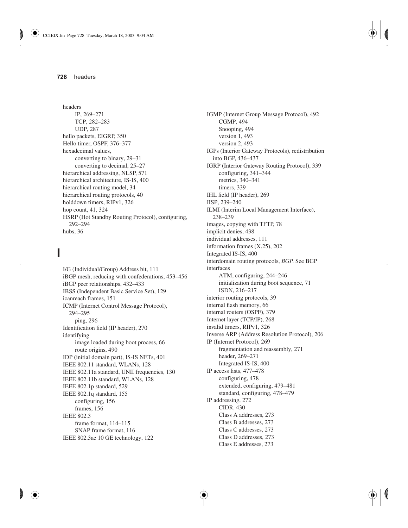**I**

headers IP, 269–271 TCP, 282–283 UDP, 287 hello packets, EIGRP, 350 Hello timer, OSPF, 376–377 hexadecimal values, converting to binary, 29–31 converting to decimal, 25–27 hierarchical addressing, NLSP, 571 hierarchical architecture, IS-IS, 400 hierarchical routing model, 34 hierarchical routing protocols, 40 holddown timers, RIPv1, 326 hop count, 41, 324 HSRP (Hot Standby Routing Protocol), configuring, 292–294 hubs, 36

I/G (Individual/Group) Address bit, 111 iBGP mesh, reducing with confederations, 453–456 iBGP peer relationships, 432–433 IBSS (Independent Basic Service Set), 129 icanreach frames, 151 ICMP (Internet Control Message Protocol), 294–295 ping, 296 Identification field (IP header), 270 identifying image loaded during boot process, 66 route origins, 490 IDP (initial domain part), IS-IS NETs, 401 IEEE 802.11 standard, WLANs, 128 IEEE 802.11a standard, UNII frequencies, 130 IEEE 802.11b standard, WLANs, 128 IEEE 802.1p standard, 529 IEEE 802.1q standard, 155 configuring, 156 frames, 156 IEEE 802.3 frame format, 114–115 SNAP frame format, 116 IEEE 802.3ae 10 GE technology, 122

IGMP (Internet Group Message Protocol), 492 CGMP, 494 Snooping, 494 version 1, 493 version 2, 493 IGPs (Interior Gateway Protocols), redistribution into BGP, 436–437 IGRP (Interior Gateway Routing Protocol), 339 configuring, 341–344 metrics, 340–341 timers, 339 IHL field (IP header), 269 IISP, 239–240 ILMI (Interim Local Management Interface), 238–239 images, copying with TFTP, 78 implicit denies, 438 individual addresses, 111 information frames (X.25), 202 Integrated IS-IS, 400 interdomain routing protocols, *BGP*. See BGP interfaces ATM, configuring, 244–246 initialization during boot sequence, 71 ISDN, 216–217 interior routing protocols, 39 internal flash memory, 66 internal routers (OSPF), 379 Internet layer (TCP/IP), 268 invalid timers, RIPv1, 326 Inverse ARP (Address Resolution Protocol), 206 IP (Internet Protocol), 269 fragmentation and reassembly, 271 header, 269–271 Integrated IS-IS, 400 IP access lists, 477–478 configuring, 478 extended, configuring, 479–481 standard, configuring, 478–479 IP addressing, 272 CIDR, 430 Class A addresses, 273 Class B addresses, 273 Class C addresses, 273 Class D addresses, 273 Class E addresses, 273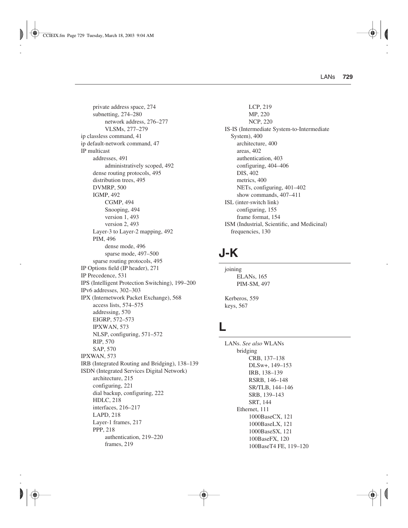private address space, 274 subnetting, 274–280 network address, 276–277 VLSMs, 277–279 ip classless command, 41 ip default-network command, 47 IP multicast addresses, 491 administratively scoped, 492 dense routing protocols, 495 distribution trees, 495 DVMRP, 500 IGMP, 492 CGMP, 494 Snooping, 494 version 1, 493 version 2, 493 Layer-3 to Layer-2 mapping, 492 PIM, 496 dense mode, 496 sparse mode, 497–500 sparse routing protocols, 495 IP Options field (IP header), 271 IP Precedence, 531 IPS (Intelligent Protection Switching), 199–200 IPv6 addresses, 302–303 IPX (Internetwork Packet Exchange), 568 access lists, 574–575 addressing, 570 EIGRP, 572–573 IPXWAN, 573 NLSP, configuring, 571–572 RIP, 570 SAP, 570 IPXWAN, 573 IRB (Integrated Routing and Bridging), 138–139 ISDN (Integrated Services Digital Network) architecture, 215 configuring, 221 dial backup, configuring, 222 HDLC, 218 interfaces, 216–217 LAPD, 218 Layer-1 frames, 217 PPP, 218 authentication, 219–220 frames, 219

LCP, 219 MP, 220 NCP, 220 IS-IS (Intermediate System-to-Intermediate System), 400 architecture, 400 areas, 402 authentication, 403 configuring, 404–406 DIS, 402 metrics, 400 NETs, configuring, 401–402 show commands, 407–411 ISL (inter-switch link) configuring, 155 frame format, 154 ISM (Industrial, Scientific, and Medicinal) frequencies, 130

# **J-K**

joining ELANs, 165 PIM-SM, 497

Kerberos, 559 keys, 567

# **L**

LANs. *See also* WLANs bridging CRB, 137–138 DLSw+, 149–153 IRB, 138–139 RSRB, 146–148 SR/TLB, 144–146 SRB, 139–143 SRT, 144 Ethernet, 111 1000BaseCX, 121 1000BaseLX, 121 1000BaseSX, 121 100BaseFX, 120 100BaseT4 FE, 119–120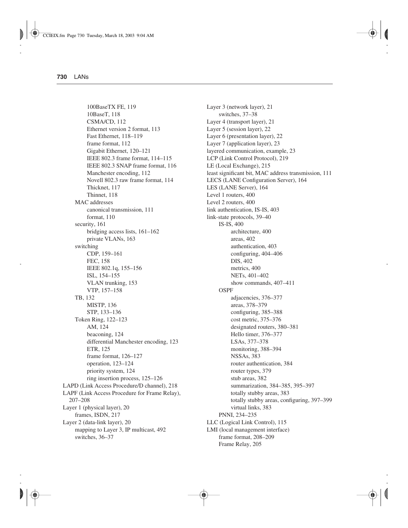100BaseTX FE, 119 10BaseT, 118 CSMA/CD, 112 Ethernet version 2 format, 113 Fast Ethernet, 118–119 frame format, 112 Gigabit Ethernet, 120–121 IEEE 802.3 frame format, 114–115 IEEE 802.3 SNAP frame format, 116 Manchester encoding, 112 Novell 802.3 raw frame format, 114 Thicknet, 117 Thinnet, 118 MAC addresses canonical transmission, 111 format, 110 security, 161 bridging access lists, 161–162 private VLANs, 163 switching CDP, 159–161 FEC, 158 IEEE 802.1q, 155–156 ISL, 154–155 VLAN trunking, 153 VTP, 157–158 TB, 132 MISTP, 136 STP, 133–136 Token Ring, 122–123 AM, 124 beaconing, 124 differential Manchester encoding, 123 ETR, 125 frame format, 126–127 operation, 123–124 priority system, 124 ring insertion process, 125–126 LAPD (Link Access Procedure/D channel), 218 LAPF (Link Access Procedure for Frame Relay), 207–208 Layer 1 (physical layer), 20 frames, ISDN, 217 Layer 2 (data-link layer), 20 mapping to Layer 3, IP multicast, 492 switches, 36–37

Layer 3 (network layer), 21 switches, 37–38 Layer 4 (transport layer), 21 Layer 5 (session layer), 22 Layer 6 (presentation layer), 22 Layer 7 (application layer), 23 layered communication, example, 23 LCP (Link Control Protocol), 219 LE (Local Exchange), 215 least significant bit, MAC address transmission, 111 LECS (LANE Configuration Server), 164 LES (LANE Server), 164 Level 1 routers, 400 Level 2 routers, 400 link authentication, IS-IS, 403 link-state protocols, 39–40 IS-IS, 400 architecture, 400 areas, 402 authentication, 403 configuring, 404–406 DIS, 402 metrics, 400 NETs, 401–402 show commands, 407–411 **OSPF** adjacencies, 376–377 areas, 378–379 configuring, 385–388 cost metric, 375–376 designated routers, 380–381 Hello timer, 376–377 LSAs, 377–378 monitoring, 388–394 NSSAs, 383 router authentication, 384 router types, 379 stub areas, 382 summarization, 384–385, 395–397 totally stubby areas, 383 totally stubby areas, configuring, 397–399 virtual links, 383 PNNI, 234–235 LLC (Logical Link Control), 115 LMI (local management interface) frame format, 208–209 Frame Relay, 205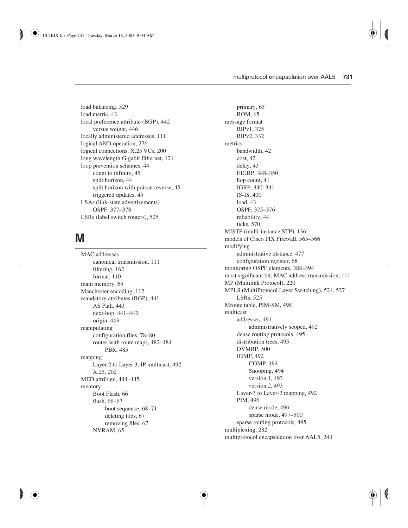load balancing, 529 load metric, 43 local preference attribute (BGP), 442 versus weight, 446 locally administered addresses, 111 logical AND operation, 276 logical connections, X.25 VCs, 200 long wavelength Gigabit Ethernet, 121 loop prevention schemes, 44 count to infinity, 45 split horizon, 44 split horizon with poison reverse, 45 triggered updates, 45 LSAs (link-state advertisements) OSPF, 377–378 LSRs (label switch routers), 525

### **M**

MAC addresses canonical transmission, 111 filtering, 162 format, 110 main memory, 65 Manchester encoding, 112 mandatory attributes (BGP), 441 AS Path, 443 next-hop, 441–442 origin, 443 manipulating configuration files, 78–80 routes with route maps, 482–484 PBR, 485 mapping Layer 2 to Layer 3, IP multicast, 492 X.25, 202 MED attribute, 444–445 memory Boot Flash, 66 flash, 66–67 boot sequence, 68–71 deleting files, 67 removing files, 67 NVRAM, 65

primary, 65 ROM, 65 message format RIPv1, 325 RIPv2, 332 metrics bandwidth, 42 cost, 42 delay, 43 EIGRP, 348–350 hop count, 41 IGRP, 340–341 IS-IS, 400 load, 43 OSPF, 375–376 reliability, 44 ticks, 570 MISTP (multi-instance STP), 136 models of Cisco PIX Firewall, 565–566 modifying administrative distance, 477 configuration register, 68 monitoring OSPF elements, 388–394 most significant bit, MAC address transmission, 111 MP (Multilink Protocol), 220 MPLS (MultiProtocol Layer Switching), 524, 527 LSRs, 525 Mroute table, PIM-SM, 498 multicast addresses, 491 administratively scoped, 492 dense routing protocols, 495 distribution trees, 495 DVMRP, 500 IGMP, 492 CGMP, 494 Snooping, 494 version 1, 493 version 2, 493 Layer-3 to Layer-2 mapping, 492 PIM, 496 dense mode, 496 sparse mode, 497–500 sparse routing protocols, 495 multiplexing, 282 multiprotocol encapsulation over AAL5, 243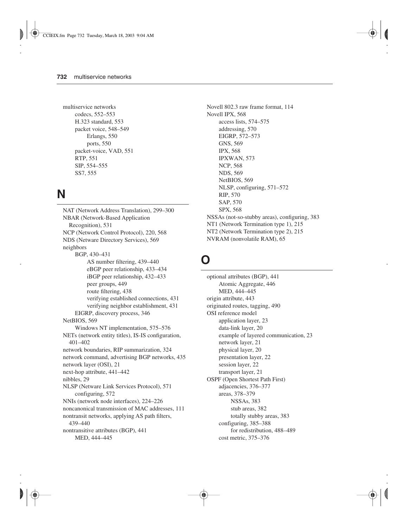```
multiservice networks
codecs, 552–553
H.323 standard, 553
packet voice, 548–549
     Erlangs, 550
     ports, 550
packet-voice, VAD, 551
RTP, 551
SIP, 554–555
SS7, 555
```
# **N**

NAT (Network Address Translation), 299–300 NBAR (Network-Based Application Recognition), 531 NCP (Network Control Protocol), 220, 568 NDS (Netware Directory Services), 569 neighbors BGP, 430–431 AS number filtering, 439–440 eBGP peer relationship, 433–434 iBGP peer relationship, 432–433 peer groups, 449 route filtering, 438 verifying established connections, 431 verifying neighbor establishment, 431 EIGRP, discovery process, 346 NetBIOS, 569 Windows NT implementation, 575–576 NETs (network entity titles), IS-IS configuration, 401–402 network boundaries, RIP summarization, 324 network command, advertising BGP networks, 435 network layer (OSI), 21 next-hop attribute, 441–442 nibbles, 29 NLSP (Netware Link Services Protocol), 571 configuring, 572 NNIs (network node interfaces), 224–226 noncanonical transmission of MAC addresses, 111 nontransit networks, applying AS path filters, 439–440 nontransitive attributes (BGP), 441 MED, 444–445

Novell 802.3 raw frame format, 114 Novell IPX, 568 access lists, 574–575 addressing, 570 EIGRP, 572–573 GNS, 569 IPX, 568 IPXWAN, 573 NCP, 568 NDS, 569 NetBIOS, 569 NLSP, configuring, 571–572 RIP, 570 SAP, 570 SPX, 568 NSSAs (not-so-stubby areas), configuring, 383 NT1 (Network Termination type 1), 215 NT2 (Network Termination type 2), 215 NVRAM (nonvolatile RAM), 65

#### **O**

optional attributes (BGP), 441 Atomic Aggregate, 446 MED, 444–445 origin attribute, 443 originated routes, tagging, 490 OSI reference model application layer, 23 data-link layer, 20 example of layered communication, 23 network layer, 21 physical layer, 20 presentation layer, 22 session layer, 22 transport layer, 21 OSPF (Open Shortest Path First) adjacencies, 376–377 areas, 378–379 NSSAs, 383 stub areas, 382 totally stubby areas, 383 configuring, 385–388 for redistribution, 488–489 cost metric, 375–376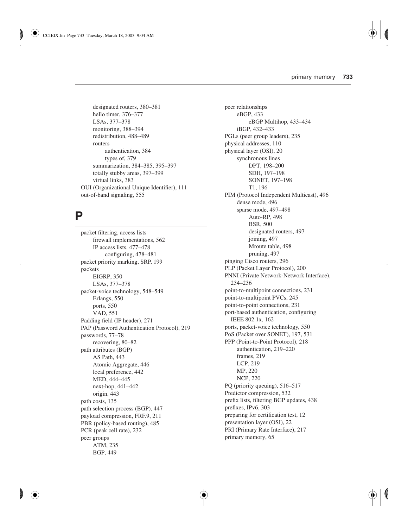designated routers, 380–381 hello timer, 376–377 LSAs, 377–378 monitoring, 388–394 redistribution, 488–489 routers authentication, 384 types of, 379 summarization, 384–385, 395–397 totally stubby areas, 397–399 virtual links, 383 OUI (Organizational Unique Identifier), 111 out-of-band signaling, 555

### **P**

packet filtering, access lists firewall implementations, 562 IP access lists, 477–478 configuring, 478–481 packet priority marking, SRP, 199 packets EIGRP, 350 LSAs, 377–378 packet-voice technology, 548–549 Erlangs, 550 ports, 550 VAD, 551 Padding field (IP header), 271 PAP (Password Authentication Protocol), 219 passwords, 77–78 recovering, 80–82 path attributes (BGP) AS Path, 443 Atomic Aggregate, 446 local preference, 442 MED, 444–445 next-hop, 441–442 origin, 443 path costs, 135 path selection process (BGP), 447 payload compression, FRF.9, 211 PBR (policy-based routing), 485 PCR (peak cell rate), 232 peer groups ATM, 235 BGP, 449

peer relationships eBGP, 433 eBGP Multihop, 433–434 iBGP, 432–433 PGLs (peer group leaders), 235 physical addresses, 110 physical layer (OSI), 20 synchronous lines DPT, 198–200 SDH, 197–198 SONET, 197–198 T1, 196 PIM (Protocol Independent Multicast), 496 dense mode, 496 sparse mode, 497–498 Auto-RP, 498 BSR, 500 designated routers, 497 joining, 497 Mroute table, 498 pruning, 497 pinging Cisco routers, 296 PLP (Packet Layer Protocol), 200 PNNI (Private Network-Network Interface), 234–236 point-to-multipoint connections, 231 point-to-multipoint PVCs, 245 point-to-point connections, 231 port-based authentication, configuring IEEE 802.1x, 162 ports, packet-voice technology, 550 PoS (Packet over SONET), 197, 531 PPP (Point-to-Point Protocol), 218 authentication, 219–220 frames, 219 LCP, 219 MP, 220 NCP, 220 PQ (priority queuing), 516–517 Predictor compression, 532 prefix lists, filtering BGP updates, 438 prefixes, IPv6, 303 preparing for certification test, 12 presentation layer (OSI), 22 PRI (Primary Rate Interface), 217 primary memory, 65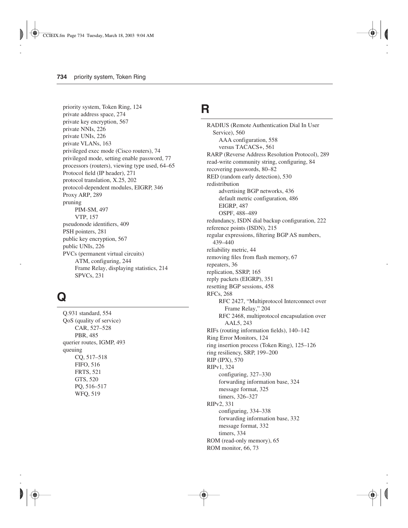priority system, Token Ring, 124 private address space, 274 private key encryption, 567 private NNIs, 226 private UNIs, 226 private VLANs, 163 privileged exec mode (Cisco routers), 74 privileged mode, setting enable password, 77 processors (routers), viewing type used, 64–65 Protocol field (IP header), 271 protocol translation, X.25, 202 protocol-dependent modules, EIGRP, 346 Proxy ARP, 289 pruning PIM-SM, 497 VTP, 157 pseudonode identifiers, 409 PSH pointers, 281 public key encryption, 567 public UNIs, 226 PVCs (permanent virtual circuits) ATM, configuring, 244 Frame Relay, displaying statistics, 214 SPVCs, 231

# **Q**

Q.931 standard, 554 QoS (quality of service) CAR, 527–528 PBR, 485 querier routes, IGMP, 493 queuing CQ, 517–518 FIFO, 516 FRTS, 521 GTS, 520 PQ, 516–517 WFQ, 519

### **R**

RADIUS (Remote Authentication Dial In User Service), 560 AAA configuration, 558 versus TACACS+, 561 RARP (Reverse Address Resolution Protocol), 289 read-write community string, configuring, 84 recovering passwords, 80–82 RED (random early detection), 530 redistribution advertising BGP networks, 436 default metric configuration, 486 EIGRP, 487 OSPF, 488–489 redundancy, ISDN dial backup configuration, 222 reference points (ISDN), 215 regular expressions, filtering BGP AS numbers, 439–440 reliability metric, 44 removing files from flash memory, 67 repeaters, 36 replication, SSRP, 165 reply packets (EIGRP), 351 resetting BGP sessions, 458 RFCs, 268 RFC 2427, "Multiprotocol Interconnect over Frame Relay," 204 RFC 2468, multiprotocol encapsulation over AAL5, 243 RIFs (routing information fields), 140–142 Ring Error Monitors, 124 ring insertion process (Token Ring), 125–126 ring resiliency, SRP, 199–200 RIP (IPX), 570 RIPv1, 324 configuring, 327–330 forwarding information base, 324 message format, 325 timers, 326–327 RIPv2, 331 configuring, 334–338 forwarding information base, 332 message format, 332 timers, 334 ROM (read-only memory), 65 ROM monitor, 66, 73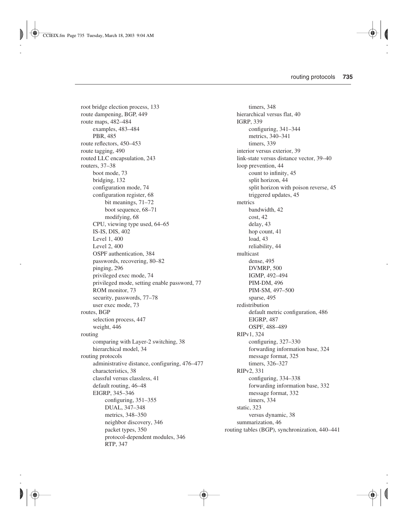root bridge election process, 133 route dampening, BGP, 449 route maps, 482–484 examples, 483–484 PBR, 485 route reflectors, 450–453 route tagging, 490 routed LLC encapsulation, 243 routers, 37–38 boot mode, 73 bridging, 132 configuration mode, 74 configuration register, 68 bit meanings, 71–72 boot sequence, 68–71 modifying, 68 CPU, viewing type used, 64–65 IS-IS, DIS, 402 Level 1, 400 Level 2, 400 OSPF authentication, 384 passwords, recovering, 80–82 pinging, 296 privileged exec mode, 74 privileged mode, setting enable password, 77 ROM monitor, 73 security, passwords, 77–78 user exec mode, 73 routes, BGP selection process, 447 weight, 446 routing comparing with Layer-2 switching, 38 hierarchical model, 34 routing protocols administrative distance, configuring, 476–477 characteristics, 38 classful versus classless, 41 default routing, 46–48 EIGRP, 345–346 configuring, 351–355 DUAL, 347–348 metrics, 348–350 neighbor discovery, 346 packet types, 350 protocol-dependent modules, 346 RTP, 347

timers, 348 hierarchical versus flat, 40 IGRP, 339 configuring, 341–344 metrics, 340–341 timers, 339 interior versus exterior, 39 link-state versus distance vector, 39–40 loop prevention, 44 count to infinity, 45 split horizon, 44 split horizon with poison reverse, 45 triggered updates, 45 metrics bandwidth, 42 cost, 42 delay, 43 hop count, 41 load, 43 reliability, 44 multicast dense, 495 DVMRP, 500 IGMP, 492–494 PIM-DM, 496 PIM-SM, 497–500 sparse, 495 redistribution default metric configuration, 486 EIGRP, 487 OSPF, 488–489 RIPv1, 324 configuring, 327–330 forwarding information base, 324 message format, 325 timers, 326–327 RIPv2, 331 configuring, 334–338 forwarding information base, 332 message format, 332 timers, 334 static, 323 versus dynamic, 38 summarization, 46 routing tables (BGP), synchronization, 440–441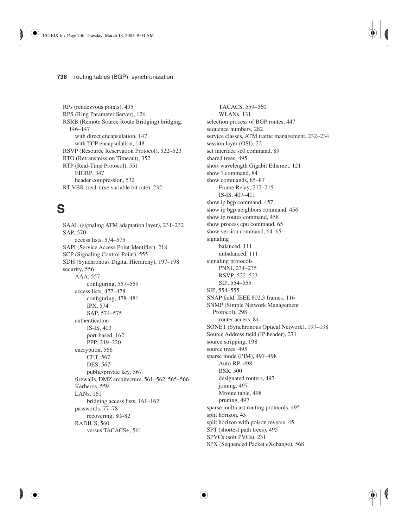RPs (rendezvous points), 495 RPS (Ring Parameter Server), 126 RSRB (Remote Source Route Bridging) bridging, 146–147 with direct encapsulation, 147 with TCP encapsulation, 148 RSVP (Resource Reservation Protocol), 522–523 RTO (Retransmission Timeout), 352 RTP (Real-Time Protocol), 551 EIGRP, 347 header compression, 532 RT-VBR (real-time variable bit rate), 232

# **S**

SAAL (signaling ATM adaptation layer), 231–232 SAP, 570 access lists, 574–575 SAPI (Service Access Point Identifier), 218 SCP (Signaling Control Point), 555 SDH (Synchronous Digital Hierarchy), 197–198 security, 556 AAA, 557 configuring, 557–559 access lists, 477–478 configuring, 478–481 IPX, 574 SAP, 574–575 authentication IS-IS, 403 port-based, 162 PPP, 219–220 encryption, 566 CET, 567 DES, 567 public/private key, 567 firewalls, DMZ architecture, 561–562, 565–566 Kerberos, 559 LANs, 161 bridging access lists, 161–162 passwords, 77–78 recovering, 80–82 RADIUS, 560 versus TACACS+, 561

TACACS, 559–560 WLANs, 131 selection process of BGP routes, 447 sequence numbers, 282 service classes, ATM traffic management, 232–234 session layer (OSI), 22 set interface sc0 command, 89 shared trees, 495 short wavelength Gigabit Ethernet, 121 show ? command, 84 show commands, 85–87 Frame Relay, 212–215 IS-IS, 407–411 show ip bgp command, 457 show ip bgp neighbors command, 456 show ip routes command, 458 show process cpu command, 65 show version command, 64–65 signaling balanced, 111 unbalanced, 111 signaling protocols PNNI, 234–235 RSVP, 522–523 SIP, 554–555 SIP, 554–555 SNAP field, IEEE 802.3 frames, 116 SNMP (Simple Network Management Protocol), 298 router access, 84 SONET (Synchronous Optical Network), 197–198 Source Address field (IP header), 271 source stripping, 198 source trees, 495 sparse mode (PIM), 497–498 Auto-RP, 498 BSR, 500 designated routers, 497 joining, 497 Mroute table, 498 pruning, 497 sparse multicast routing protocols, 495 split horizon, 45 split horizon with poison reverse, 45 SPT (shortest path trees), 495 SPVCs (soft PVCs), 231 SPX (Sequenced Packet eXchange), 568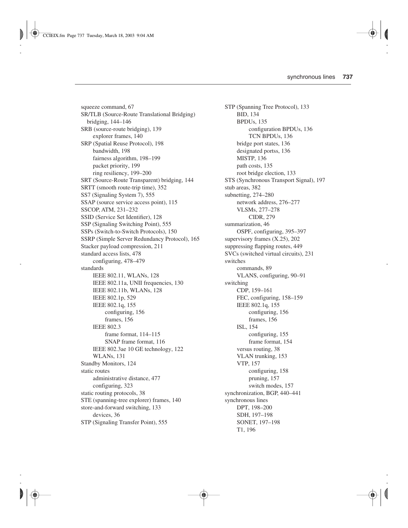squeeze command, 67 SR/TLB (Source-Route Translational Bridging) bridging, 144–146 SRB (source-route bridging), 139 explorer frames, 140 SRP (Spatial Reuse Protocol), 198 bandwidth, 198 fairness algorithm, 198–199 packet priority, 199 ring resiliency, 199–200 SRT (Source-Route Transparent) bridging, 144 SRTT (smooth route-trip time), 352 SS7 (Signaling System 7), 555 SSAP (source service access point), 115 SSCOP, ATM, 231–232 SSID (Service Set Identifier), 128 SSP (Signaling Switching Point), 555 SSPs (Switch-to-Switch Protocols), 150 SSRP (Simple Server Redundancy Protocol), 165 Stacker payload compression, 211 standard access lists, 478 configuring, 478–479 standards IEEE 802.11, WLANs, 128 IEEE 802.11a, UNII frequencies, 130 IEEE 802.11b, WLANs, 128 IEEE 802.1p, 529 IEEE 802.1q, 155 configuring, 156 frames, 156 IEEE 802.3 frame format, 114–115 SNAP frame format, 116 IEEE 802.3ae 10 GE technology, 122 WLANs, 131 Standby Monitors, 124 static routes administrative distance, 477 configuring, 323 static routing protocols, 38 STE (spanning-tree explorer) frames, 140 store-and-forward switching, 133 devices, 36 STP (Signaling Transfer Point), 555

STP (Spanning Tree Protocol), 133 BID, 134 BPDUs, 135 configuration BPDUs, 136 TCN BPDUs, 136 bridge port states, 136 designated portss, 136 MISTP, 136 path costs, 135 root bridge election, 133 STS (Synchronous Transport Signal), 197 stub areas, 382 subnetting, 274–280 network address, 276–277 VLSMs, 277–278 CIDR, 279 summarization, 46 OSPF, configuring, 395–397 supervisory frames (X.25), 202 suppressing flapping routes, 449 SVCs (switched virtual circuits), 231 switches commands, 89 VLANS, configuring, 90–91 switching CDP, 159–161 FEC, configuring, 158–159 IEEE 802.1q, 155 configuring, 156 frames, 156 ISL, 154 configuring, 155 frame format, 154 versus routing, 38 VLAN trunking, 153 VTP, 157 configuring, 158 pruning, 157 switch modes, 157 synchronization, BGP, 440–441 synchronous lines DPT, 198–200 SDH, 197–198 SONET, 197–198 T1, 196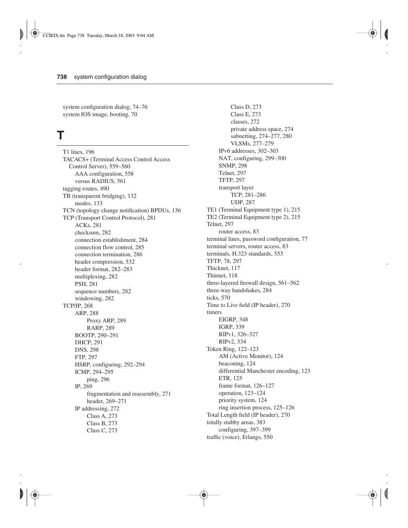system configuration dialog, 74–76 system IOS image, booting, 70

#### **T**

T1 lines, 196 TACACS+ (Terminal Access Control Access Control Server), 559–560 AAA configuration, 558 versus RADIUS, 561 tagging routes, 490 TB (transparent bridging), 132 modes, 133 TCN (topology change notification) BPDUs, 136 TCP (Transport Control Protocol), 281 ACKs, 281 checksum, 282 connection establishment, 284 connection flow control, 285 connection termination, 286 header compression, 532 header format, 282–283 multiplexing, 282 PSH, 281 sequence numbers, 282 windowing, 282 TCP/IP, 268 ARP, 288 Proxy ARP, 289 RARP, 289 BOOTP, 290–291 DHCP, 291 DNS, 298 FTP, 297 HSRP, configuring, 292–294 ICMP, 294–295 ping, 296 IP, 269 fragmentation and reassembly, 271 header, 269–271 IP addressing, 272 Class A, 273 Class B, 273 Class C, 273

Class D, 273 Class E, 273 classes, 272 private address space, 274 subnetting, 274–277, 280 VLSMs, 277–279 IPv6 addresses, 302–303 NAT, configuring, 299–300 SNMP, 298 Telnet, 297 TFTP, 297 transport layer TCP, 281–286 UDP, 287 TE1 (Terminal Equipment type 1), 215 TE2 (Terminal Equipment type 2), 215 Telnet, 297 router access, 83 terminal lines, password configuration, 77 terminal servers, router access, 83 terminals, H.323 standards, 553 TFTP, 78, 297 Thicknet, 117 Thinnet, 118 three-layered firewall design, 561–562 three-way handshakes, 284 ticks, 570 Time to Live field (IP header), 270 timers EIGRP, 348 IGRP, 339 RIPv1, 326–327 RIPv2, 334 Token Ring, 122–123 AM (Active Monitor), 124 beaconing, 124 differential Manchester encoding, 123 ETR, 125 frame format, 126–127 operation, 123–124 priority system, 124 ring insertion process, 125–126 Total Length field (IP header), 270 totally stubby areas, 383 configuring, 397–399 traffic (voice), Erlangs, 550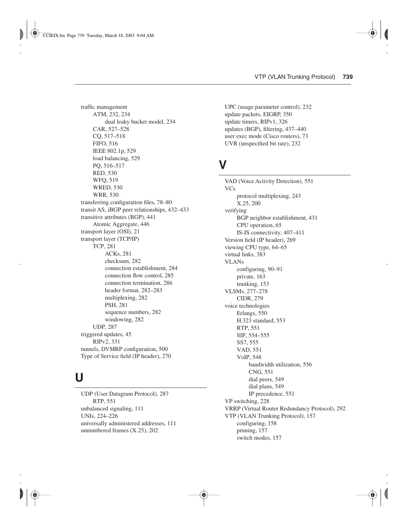traffic management ATM, 232, 234 dual leaky bucket model, 234 CAR, 527–528 CQ, 517–518 FIFO, 516 IEEE 802.1p, 529 load balancing, 529 PQ, 516–517 RED, 530 WFQ, 519 WRED, 530 WRR, 530 transferring configuration files, 78–80 transit AS, iBGP peer relationships, 432–433 transitive attributes (BGP), 441 Atomic Aggregate, 446 transport layer (OSI), 21 transport layer (TCP/IP) TCP, 281 ACKs, 281 checksum, 282 connection establishment, 284 connection flow control, 285 connection termination, 286 header format, 282–283 multiplexing, 282 PSH, 281 sequence numbers, 282 windowing, 282 UDP, 287 triggered updates, 45 RIPv2, 331 tunnels, DVMRP configuration, 500 Type of Service field (IP header), 270

# **U**

UDP (User Datagram Protocol), 287 RTP, 551 unbalanced signaling, 111 UNIs, 224–226 universally administered addresses, 111 unnumbered frames (X.25), 202

UPC (usage parameter control), 232 update packets, EIGRP, 350 update timers, RIPv1, 326 updates (BGP), filtering, 437–440 user exec mode (Cisco routers), 73 UVR (unspecified bit rate), 232

### **V**

VAD (Voice Activity Detection), 551 VCs protocol multiplexing, 243 X.25, 200 verifying BGP neighbor establishment, 431 CPU operation, 65 IS-IS connectivity, 407–411 Version field (IP header), 269 viewing CPU type, 64–65 virtual links, 383 VLANs configuring, 90–91 private, 163 trunking, 153 VLSMs, 277–278 CIDR, 279 voice technologies Erlangs, 550 H.323 standard, 553 RTP, 551 SIP, 554–555 SS7, 555 VAD, 551 VoIP, 548 bandwidth utilization, 556 CNG, 551 dial peers, 549 dial plans, 549 IP precedence, 551 VP switching, 228 VRRP (Virtual Router Redundancy Protocol), 292 VTP (VLAN Trunking Protocol), 157 configuring, 158 pruning, 157 switch modes, 157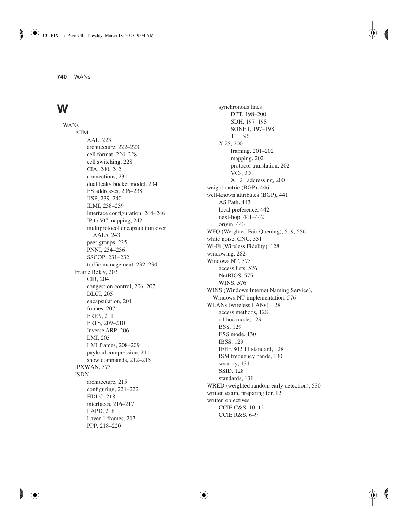# **W**

WANs ATM AAL, 223 architecture, 222–223 cell format, 224–228 cell switching, 228 CIA, 240, 242 connections, 231 dual leaky bucket model, 234 ES addresses, 236–238 IISP, 239–240 ILMI, 238–239 interface configuration, 244–246 IP to VC mapping, 242 multiprotocol encapsulation over AAL5, 243 peer groups, 235 PNNI, 234–236 SSCOP, 231–232 traffic management, 232–234 Frame Relay, 203 CIR, 204 congestion control, 206–207 DLCI, 205 encapsulation, 204 frames, 207 FRF.9, 211 FRTS, 209–210 Inverse ARP, 206 LMI, 205 LMI frames, 208–209 payload compression, 211 show commands, 212–215 IPXWAN, 573 ISDN architecture, 215 configuring, 221–222 HDLC, 218 interfaces, 216–217 LAPD, 218 Layer-1 frames, 217 PPP, 218–220

synchronous lines DPT, 198–200 SDH, 197–198 SONET, 197–198 T1, 196 X.25, 200 framing, 201–202 mapping, 202 protocol translation, 202 VCs, 200 X.121 addressing, 200 weight metric (BGP), 446 well-known attributes (BGP), 441 AS Path, 443 local preference, 442 next-hop, 441–442 origin, 443 WFQ (Weighted Fair Queuing), 519, 556 white noise, CNG, 551 Wi-Fi (Wireless Fidelity), 128 windowing, 282 Windows NT, 575 access lists, 576 NetBIOS, 575 WINS, 576 WINS (Windows Internet Naming Service), Windows NT implementation, 576 WLANs (wireless LANs), 128 access methods, 128 ad hoc mode, 129 BSS, 129 ESS mode, 130 IBSS, 129 IEEE 802.11 standard, 128 ISM frequency bands, 130 security, 131 SSID, 128 standards, 131 WRED (weighted random early detection), 530 written exam, preparing for, 12 written objectives CCIE C&S, 10–12 CCIE R&S, 6–9